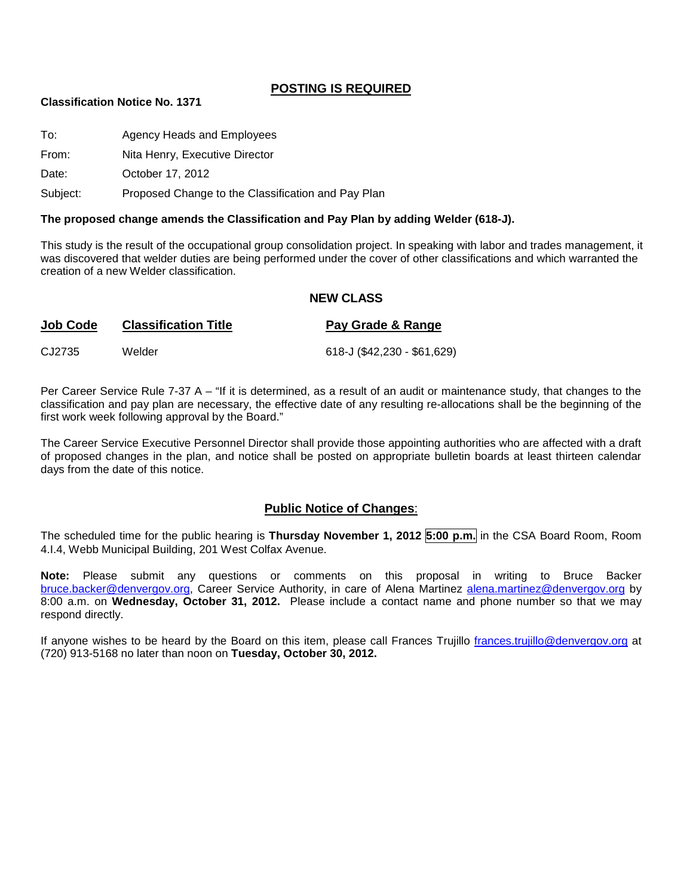## **POSTING IS REQUIRED**

#### **Classification Notice No. 1371**

| To:      | Agency Heads and Employees                         |
|----------|----------------------------------------------------|
| From:    | Nita Henry, Executive Director                     |
| Date:    | October 17, 2012                                   |
| Subject: | Proposed Change to the Classification and Pay Plan |

#### **The proposed change amends the Classification and Pay Plan by adding Welder (618-J).**

This study is the result of the occupational group consolidation project. In speaking with labor and trades management, it was discovered that welder duties are being performed under the cover of other classifications and which warranted the creation of a new Welder classification.

#### **NEW CLASS**

| Job Code | <b>Classification Title</b> | Pay Grade & Range           |
|----------|-----------------------------|-----------------------------|
| CJ2735   | Welder                      | 618-J (\$42,230 - \$61,629) |

Per Career Service Rule 7-37 A – "If it is determined, as a result of an audit or maintenance study, that changes to the classification and pay plan are necessary, the effective date of any resulting re-allocations shall be the beginning of the first work week following approval by the Board."

The Career Service Executive Personnel Director shall provide those appointing authorities who are affected with a draft of proposed changes in the plan, and notice shall be posted on appropriate bulletin boards at least thirteen calendar days from the date of this notice.

## **Public Notice of Changes**:

The scheduled time for the public hearing is **Thursday November 1, 2012 5:00 p.m.** in the CSA Board Room, Room 4.I.4, Webb Municipal Building, 201 West Colfax Avenue.

**Note:** Please submit any questions or comments on this proposal in writing to Bruce Backer [bruce.backer@denvergov.org,](mailto:bruce.backer@denvergov.org) Career Service Authority, in care of Alena Martinez [alena.martinez@denvergov.org](mailto:alena.martinez@denvergov.org) by 8:00 a.m. on **Wednesday, October 31, 2012.** Please include a contact name and phone number so that we may respond directly.

If anyone wishes to be heard by the Board on this item, please call Frances Trujillo [frances.trujillo@denvergov.org](mailto:frances.trujillo@denvergov.org) at (720) 913-5168 no later than noon on **Tuesday, October 30, 2012.**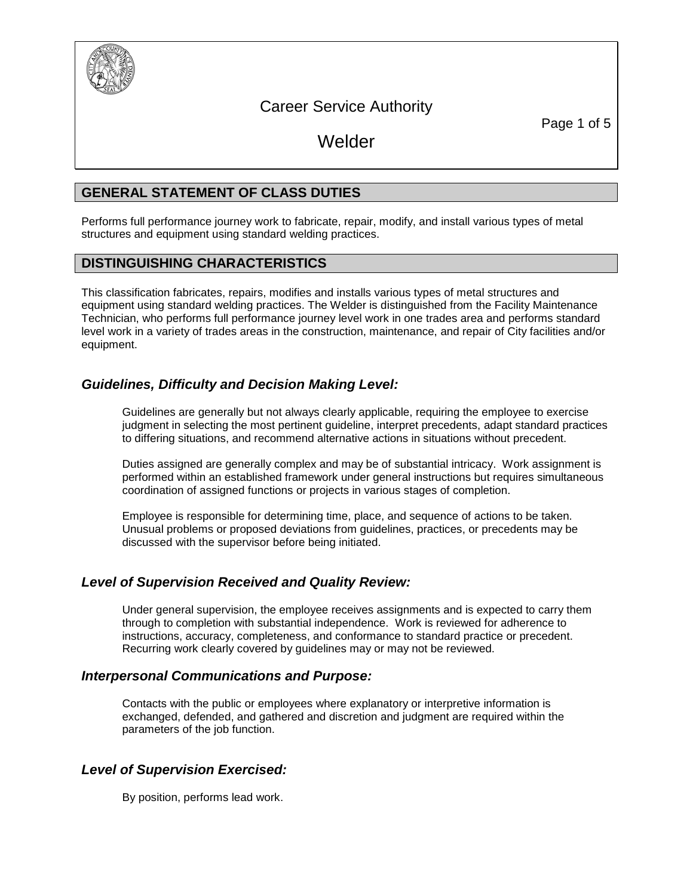

# Career Service Authority

Page 1 of 5

Welder

# **GENERAL STATEMENT OF CLASS DUTIES**

Performs full performance journey work to fabricate, repair, modify, and install various types of metal structures and equipment using standard welding practices.

# **DISTINGUISHING CHARACTERISTICS**

This classification fabricates, repairs, modifies and installs various types of metal structures and equipment using standard welding practices. The Welder is distinguished from the Facility Maintenance Technician, who performs full performance journey level work in one trades area and performs standard level work in a variety of trades areas in the construction, maintenance, and repair of City facilities and/or equipment.

# *Guidelines, Difficulty and Decision Making Level:*

Guidelines are generally but not always clearly applicable, requiring the employee to exercise judgment in selecting the most pertinent guideline, interpret precedents, adapt standard practices to differing situations, and recommend alternative actions in situations without precedent.

Duties assigned are generally complex and may be of substantial intricacy. Work assignment is performed within an established framework under general instructions but requires simultaneous coordination of assigned functions or projects in various stages of completion.

Employee is responsible for determining time, place, and sequence of actions to be taken. Unusual problems or proposed deviations from guidelines, practices, or precedents may be discussed with the supervisor before being initiated.

# *Level of Supervision Received and Quality Review:*

Under general supervision, the employee receives assignments and is expected to carry them through to completion with substantial independence. Work is reviewed for adherence to instructions, accuracy, completeness, and conformance to standard practice or precedent. Recurring work clearly covered by guidelines may or may not be reviewed.

# *Interpersonal Communications and Purpose:*

Contacts with the public or employees where explanatory or interpretive information is exchanged, defended, and gathered and discretion and judgment are required within the parameters of the job function.

# *Level of Supervision Exercised:*

By position, performs lead work.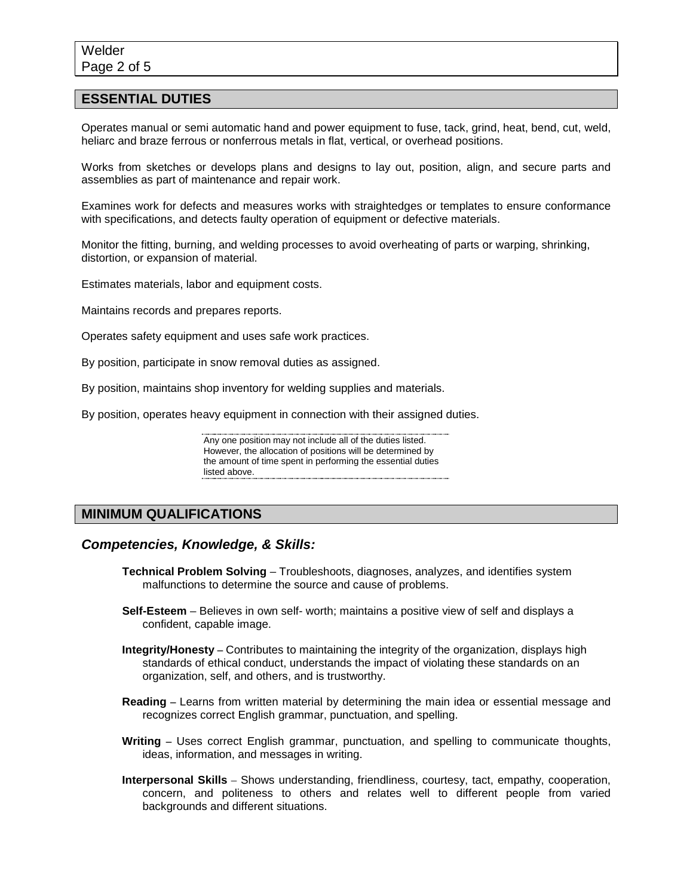## **ESSENTIAL DUTIES**

Operates manual or semi automatic hand and power equipment to fuse, tack, grind, heat, bend, cut, weld, heliarc and braze ferrous or nonferrous metals in flat, vertical, or overhead positions.

Works from sketches or develops plans and designs to lay out, position, align, and secure parts and assemblies as part of maintenance and repair work.

Examines work for defects and measures works with straightedges or templates to ensure conformance with specifications, and detects faulty operation of equipment or defective materials.

Monitor the fitting, burning, and welding processes to avoid overheating of parts or warping, shrinking, distortion, or expansion of material.

Estimates materials, labor and equipment costs.

Maintains records and prepares reports.

Operates safety equipment and uses safe work practices.

By position, participate in snow removal duties as assigned.

By position, maintains shop inventory for welding supplies and materials.

By position, operates heavy equipment in connection with their assigned duties.

Any one position may not include all of the duties listed. However, the allocation of positions will be determined by the amount of time spent in performing the essential duties listed above. **Example 20** above.

#### **MINIMUM QUALIFICATIONS**

#### *Competencies, Knowledge, & Skills:*

- **Technical Problem Solving** Troubleshoots, diagnoses, analyzes, and identifies system malfunctions to determine the source and cause of problems.
- **Self-Esteem**  Believes in own self- worth; maintains a positive view of self and displays a confident, capable image.
- **Integrity/Honesty –** Contributes to maintaining the integrity of the organization, displays high standards of ethical conduct, understands the impact of violating these standards on an organization, self, and others, and is trustworthy.
- **Reading –** Learns from written material by determining the main idea or essential message and recognizes correct English grammar, punctuation, and spelling.
- **Writing –** Uses correct English grammar, punctuation, and spelling to communicate thoughts, ideas, information, and messages in writing.
- **Interpersonal Skills** Shows understanding, friendliness, courtesy, tact, empathy, cooperation, concern, and politeness to others and relates well to different people from varied backgrounds and different situations.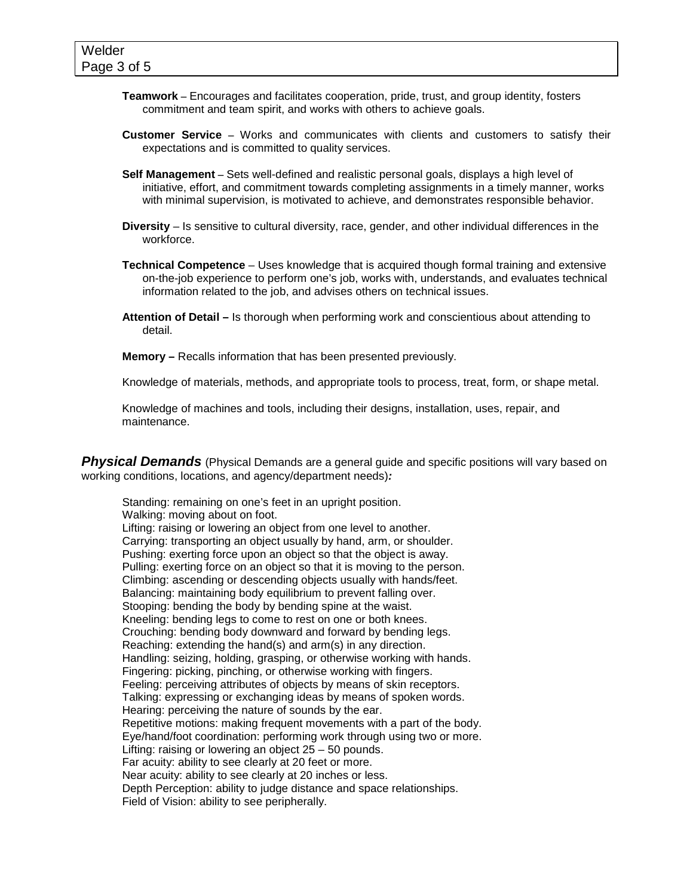- **Teamwork –** Encourages and facilitates cooperation, pride, trust, and group identity, fosters commitment and team spirit, and works with others to achieve goals.
- **Customer Service –** Works and communicates with clients and customers to satisfy their expectations and is committed to quality services.
- **Self Management –** Sets well-defined and realistic personal goals, displays a high level of initiative, effort, and commitment towards completing assignments in a timely manner, works with minimal supervision, is motivated to achieve, and demonstrates responsible behavior.
- **Diversity** Is sensitive to cultural diversity, race, gender, and other individual differences in the workforce.
- **Technical Competence** Uses knowledge that is acquired though formal training and extensive on-the-job experience to perform one's job, works with, understands, and evaluates technical information related to the job, and advises others on technical issues.
- **Attention of Detail –** Is thorough when performing work and conscientious about attending to detail.

**Memory –** Recalls information that has been presented previously.

Knowledge of materials, methods, and appropriate tools to process, treat, form, or shape metal.

Knowledge of machines and tools, including their designs, installation, uses, repair, and maintenance.

**Physical Demands** (Physical Demands are a general guide and specific positions will vary based on working conditions, locations, and agency/department needs)*:*

Standing: remaining on one's feet in an upright position. Walking: moving about on foot. Lifting: raising or lowering an object from one level to another. Carrying: transporting an object usually by hand, arm, or shoulder. Pushing: exerting force upon an object so that the object is away. Pulling: exerting force on an object so that it is moving to the person. Climbing: ascending or descending objects usually with hands/feet. Balancing: maintaining body equilibrium to prevent falling over. Stooping: bending the body by bending spine at the waist. Kneeling: bending legs to come to rest on one or both knees. Crouching: bending body downward and forward by bending legs. Reaching: extending the hand(s) and arm(s) in any direction. Handling: seizing, holding, grasping, or otherwise working with hands. Fingering: picking, pinching, or otherwise working with fingers. Feeling: perceiving attributes of objects by means of skin receptors. Talking: expressing or exchanging ideas by means of spoken words. Hearing: perceiving the nature of sounds by the ear. Repetitive motions: making frequent movements with a part of the body. Eye/hand/foot coordination: performing work through using two or more. Lifting: raising or lowering an object 25 – 50 pounds. Far acuity: ability to see clearly at 20 feet or more. Near acuity: ability to see clearly at 20 inches or less. Depth Perception: ability to judge distance and space relationships. Field of Vision: ability to see peripherally.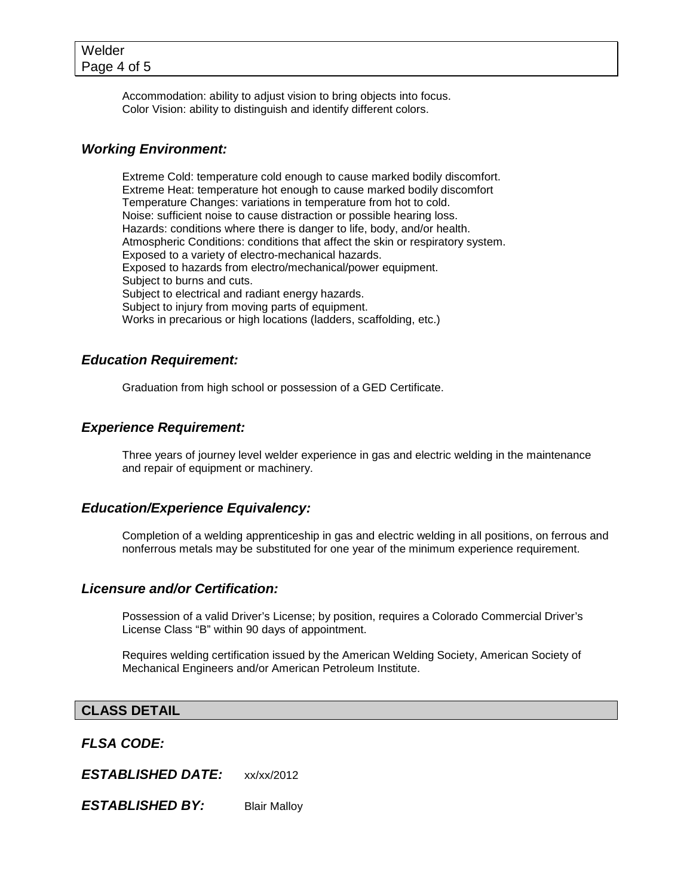Accommodation: ability to adjust vision to bring objects into focus. Color Vision: ability to distinguish and identify different colors.

## *Working Environment:*

Extreme Cold: temperature cold enough to cause marked bodily discomfort. Extreme Heat: temperature hot enough to cause marked bodily discomfort Temperature Changes: variations in temperature from hot to cold. Noise: sufficient noise to cause distraction or possible hearing loss. Hazards: conditions where there is danger to life, body, and/or health. Atmospheric Conditions: conditions that affect the skin or respiratory system. Exposed to a variety of electro-mechanical hazards. Exposed to hazards from electro/mechanical/power equipment. Subject to burns and cuts. Subject to electrical and radiant energy hazards. Subject to injury from moving parts of equipment. Works in precarious or high locations (ladders, scaffolding, etc.)

# *Education Requirement:*

Graduation from high school or possession of a GED Certificate.

## *Experience Requirement:*

Three years of journey level welder experience in gas and electric welding in the maintenance and repair of equipment or machinery.

## *Education/Experience Equivalency:*

Completion of a welding apprenticeship in gas and electric welding in all positions, on ferrous and nonferrous metals may be substituted for one year of the minimum experience requirement.

## *Licensure and/or Certification:*

Possession of a valid Driver's License; by position, requires a Colorado Commercial Driver's License Class "B" within 90 days of appointment.

Requires welding certification issued by the American Welding Society, American Society of Mechanical Engineers and/or American Petroleum Institute.

## **CLASS DETAIL**

*FLSA CODE:*

*ESTABLISHED DATE:* xx/xx/2012

**ESTABLISHED BY:** Blair Malloy